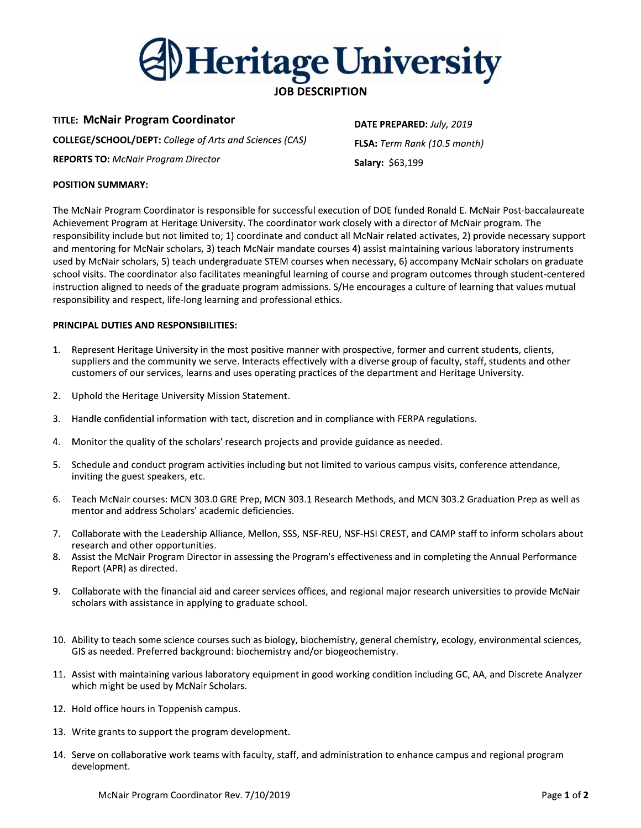

**TITLE: McNair Program Coordinator COLLEGE/SCHOOL/DEPT:** College of Arts and Sciences (CAS) **REPORTS TO: McNair Program Director** 

DATE PREPARED: July, 2019 FLSA: Term Rank (10.5 month) Salary: \$63,199

# **POSITION SUMMARY:**

The McNair Program Coordinator is responsible for successful execution of DOE funded Ronald E. McNair Post-baccalaureate Achievement Program at Heritage University. The coordinator work closely with a director of McNair program. The responsibility include but not limited to; 1) coordinate and conduct all McNair related activates, 2) provide necessary support and mentoring for McNair scholars, 3) teach McNair mandate courses 4) assist maintaining various laboratory instruments used by McNair scholars, 5) teach undergraduate STEM courses when necessary, 6) accompany McNair scholars on graduate school visits. The coordinator also facilitates meaningful learning of course and program outcomes through student-centered instruction aligned to needs of the graduate program admissions. S/He encourages a culture of learning that values mutual responsibility and respect, life-long learning and professional ethics.

# PRINCIPAL DUTIES AND RESPONSIBILITIES:

- Represent Heritage University in the most positive manner with prospective, former and current students, clients, 1. suppliers and the community we serve. Interacts effectively with a diverse group of faculty, staff, students and other customers of our services, learns and uses operating practices of the department and Heritage University.
- $2.$ Uphold the Heritage University Mission Statement.
- 3. Handle confidential information with tact, discretion and in compliance with FERPA regulations.
- Monitor the quality of the scholars' research projects and provide guidance as needed. 4.
- Schedule and conduct program activities including but not limited to various campus visits, conference attendance,  $5.$ inviting the guest speakers, etc.
- 6. Teach McNair courses: MCN 303.0 GRE Prep, MCN 303.1 Research Methods, and MCN 303.2 Graduation Prep as well as mentor and address Scholars' academic deficiencies.
- 7. Collaborate with the Leadership Alliance, Mellon, SSS, NSF-REU, NSF-HSI CREST, and CAMP staff to inform scholars about research and other opportunities.
- Assist the McNair Program Director in assessing the Program's effectiveness and in completing the Annual Performance 8. Report (APR) as directed.
- 9. Collaborate with the financial aid and career services offices, and regional major research universities to provide McNair scholars with assistance in applying to graduate school.
- 10. Ability to teach some science courses such as biology, biochemistry, general chemistry, ecology, environmental sciences, GIS as needed. Preferred background: biochemistry and/or biogeochemistry.
- 11. Assist with maintaining various laboratory equipment in good working condition including GC, AA, and Discrete Analyzer which might be used by McNair Scholars.
- 12. Hold office hours in Toppenish campus.
- 13. Write grants to support the program development.
- 14. Serve on collaborative work teams with faculty, staff, and administration to enhance campus and regional program development.